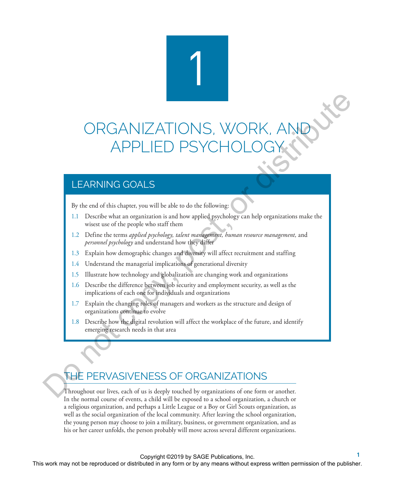# ORGANIZATIONS, WORK, AND APPLIED PST

1

### LEARNING GOALS

By the end of this chapter, you will be able to do the following:

- 1.1 Describe what an organization is and how applied psychology can help organizations make the wisest use of the people who staff them
- 1.2 Define the terms *applied psychology, talent management, human resource management,* and *personnel psychology* and understand how they differ
- 1.3 Explain how demographic changes and diversity will affect recruitment and staffing
- 1.4 Understand the managerial implications of generational diversity
- 1.5 Illustrate how technology and globalization are changing work and organizations
- 1.6 Describe the difference between job security and employment security, as well as the implications of each one for individuals and organizations
- 1.7 Explain the changing roles of managers and workers as the structure and design of organizations continue to evolve
- 1.8 Describe how the digital revolution will affect the workplace of the future, and identify emerging research needs in that area

# THE PERVASIVENESS OF ORGANIZATIONS

Throughout our lives, each of us is deeply touched by organizations of one form or another. In the normal course of events, a child will be exposed to a school organization, a church or a religious organization, and perhaps a Little League or a Boy or Girl Scouts organization, as well as the social organization of the local community. After leaving the school organization, the young person may choose to join a military, business, or government organization, and as his or her career unfolds, the person probably will move across several different organizations. This work may not be reproduced or distributed in any form or distributed in any form or by any means with a subsequent in any means were publishered in any means were applied to the publisher. The publisher or energy with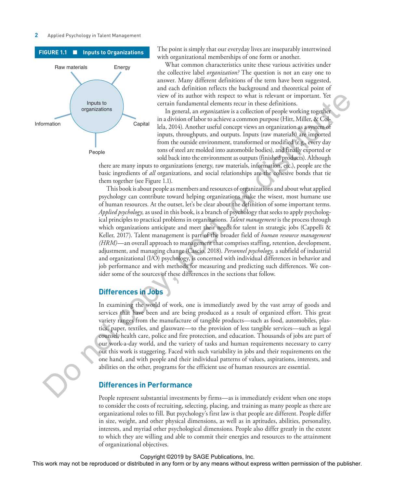#### **2** Applied Psychology in Talent Management



The point is simply that our everyday lives are inseparably intertwined with organizational memberships of one form or another.

What common characteristics unite these various activities under the collective label *organization?* The question is not an easy one to answer. Many different definitions of the term have been suggested, and each definition reflects the background and theoretical point of view of its author with respect to what is relevant or important. Yet certain fundamental elements recur in these definitions.

In general, an *organization* is a collection of people working together in a division of labor to achieve a common purpose (Hitt, Miller, & Collela, 2014). Another useful concept views an organization as a system of inputs, throughputs, and outputs. Inputs (raw materials) are imported from the outside environment, transformed or modified (e.g., every day tons of steel are molded into automobile bodies), and finally exported or sold back into the environment as outputs (finished products). Although

there are many inputs to organizations (energy, raw materials, information, etc.), people are the basic ingredients of *all* organizations, and social relationships are the cohesive bonds that tie them together (see Figure 1.1).

This book is about people as members and resources of organizations and about what applied psychology can contribute toward helping organizations make the wisest, most humane use of human resources. At the outset, let's be clear about the definition of some important terms. *Applied psychology,* as used in this book, is a branch of psychology that seeks to apply psychological principles to practical problems in organizations. *Talent management* is the process through which organizations anticipate and meet their needs for talent in strategic jobs (Cappelli & Keller, 2017). Talent management is part of the broader field of *human resource management (HRM)*—an overall approach to management that comprises staffing, retention, development, adjustment, and managing change (Cascio, 2018). *Personnel psychology,* a subfield of industrial and organizational (I/O) psychology, is concerned with individual differences in behavior and job performance and with methods for measuring and predicting such differences. We consider some of the sources of these differences in the sections that follow. The energy of the subset of the subset of the subset in a control or by any form or between the subset or distributed in any means with the publisher. The control of the publisher or distributed in any form or between the

#### **Differences in Jobs**

In examining the world of work, one is immediately awed by the vast array of goods and services that have been and are being produced as a result of organized effort. This great variety ranges from the manufacture of tangible products—such as food, automobiles, plastics, paper, textiles, and glassware—to the provision of less tangible services—such as legal counsel, health care, police and fire protection, and education. Thousands of jobs are part of our work-a-day world, and the variety of tasks and human requirements necessary to carry out this work is staggering. Faced with such variability in jobs and their requirements on the one hand, and with people and their individual patterns of values, aspirations, interests, and abilities on the other, programs for the efficient use of human resources are essential.

#### **Differences in Performance**

People represent substantial investments by firms—as is immediately evident when one stops to consider the costs of recruiting, selecting, placing, and training as many people as there are organizational roles to fill. But psychology's first law is that people are different. People differ in size, weight, and other physical dimensions, as well as in aptitudes, abilities, personality, interests, and myriad other psychological dimensions. People also differ greatly in the extent to which they are willing and able to commit their energies and resources to the attainment of organizational objectives.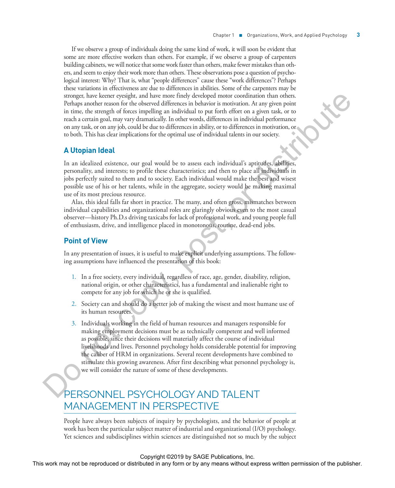If we observe a group of individuals doing the same kind of work, it will soon be evident that some are more effective workers than others. For example, if we observe a group of carpenters building cabinets, we will notice that some work faster than others, make fewer mistakes than others, and seem to enjoy their work more than others. These observations pose a question of psychological interest: Why? That is, what "people differences" cause these "work differences"? Perhaps these variations in effectiveness are due to differences in abilities. Some of the carpenters may be stronger, have keener eyesight, and have more finely developed motor coordination than others. Perhaps another reason for the observed differences in behavior is motivation. At any given point in time, the strength of forces impelling an individual to put forth effort on a given task, or to reach a certain goal, may vary dramatically. In other words, differences in individual performance on any task, or on any job, could be due to differences in ability, or to differences in motivation, or to both. This has clear implications for the optimal use of individual talents in our society.

#### **A Utopian Ideal**

In an idealized existence, our goal would be to assess each individual's aptitudes, abilities, personality, and interests; to profile these characteristics; and then to place all individuals in jobs perfectly suited to them and to society. Each individual would make the best and wisest possible use of his or her talents, while in the aggregate, society would be making maximal use of its most precious resource.

Alas, this ideal falls far short in practice. The many, and often gross, mismatches between individual capabilities and organizational roles are glaringly obvious even to the most casual observer—history Ph.D.s driving taxicabs for lack of professional work, and young people full of enthusiasm, drive, and intelligence placed in monotonous, routine, dead-end jobs.

#### **Point of View**

In any presentation of issues, it is useful to make explicit underlying assumptions. The following assumptions have influenced the presentation of this book:

- 1. In a free society, every individual, regardless of race, age, gender, disability, religion, national origin, or other characteristics, has a fundamental and inalienable right to compete for any job for which he or she is qualified.
- 2. Society can and should do a better job of making the wisest and most humane use of its human resources.
- 3. Individuals working in the field of human resources and managers responsible for making employment decisions must be as technically competent and well informed as possible, since their decisions will materially affect the course of individual livelihoods and lives. Personnel psychology holds considerable potential for improving the caliber of HRM in organizations. Several recent developments have combined to stimulate this growing awareness. After first describing what personnel psychology is, we will consider the nature of some of these developments. This work may not be represented or distributed in the reproduced or distributed in any formula to the reproduced or distributed in any first distributed in any first distributed in any first distributed in any first distr

## PERSONNEL PSYCHOLOGY AND TALENT MANAGEMENT IN PERSPECTIVE

People have always been subjects of inquiry by psychologists, and the behavior of people at work has been the particular subject matter of industrial and organizational (I/O) psychology. Yet sciences and subdisciplines within sciences are distinguished not so much by the subject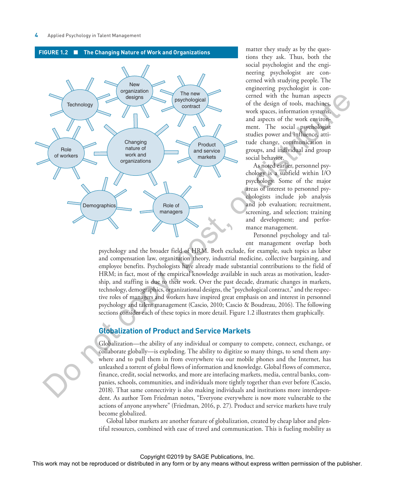



matter they study as by the questions they ask. Thus, both the social psychologist and the engineering psychologist are concerned with studying people. The engineering psychologist is concerned with the human aspects of the design of tools, machines, work spaces, information systems, and aspects of the work environment. The social psychologist studies power and influence, attitude change, communication in groups, and individual and group social behavior.

As noted earlier, personnel psychology is a subfield within I/O psychology. Some of the major areas of interest to personnel psychologists include job analysis and job evaluation; recruitment, screening, and selection; training and development; and performance management.

Personnel psychology and talent management overlap both

psychology and the broader field of HRM. Both exclude, for example, such topics as labor and compensation law, organization theory, industrial medicine, collective bargaining, and employee benefits. Psychologists have already made substantial contributions to the field of HRM; in fact, most of the empirical knowledge available in such areas as motivation, leadership, and staffing is due to their work. Over the past decade, dramatic changes in markets, technology, demographics, organizational designs, the "psychological contract," and the respective roles of managers and workers have inspired great emphasis on and interest in personnel psychology and talent management (Cascio, 2010; Cascio & Boudreau, 2016). The following sections consider each of these topics in more detail. Figure 1.2 illustrates them graphically.

#### **Globalization of Product and Service Markets**

Globalization—the ability of any individual or company to compete, connect, exchange, or collaborate globally—is exploding. The ability to digitize so many things, to send them anywhere and to pull them in from everywhere via our mobile phones and the Internet, has unleashed a torrent of global flows of information and knowledge. Global flows of commerce, finance, credit, social networks, and more are interlacing markets, media, central banks, companies, schools, communities, and individuals more tightly together than ever before (Cascio, 2018). That same connectivity is also making individuals and institutions more interdependent. As author Tom Friedman notes, "Everyone everywhere is now more vulnerable to the actions of anyone anywhere" (Friedman, 2016, p. 27). Product and service markets have truly become globalized.

Global labor markets are another feature of globalization, created by cheap labor and plentiful resources, combined with ease of travel and communication. This is fueling mobility as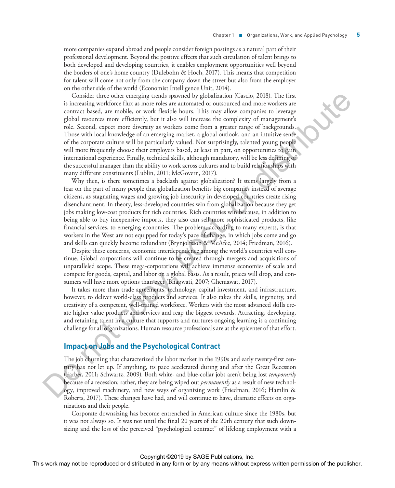more companies expand abroad and people consider foreign postings as a natural part of their professional development. Beyond the positive effects that such circulation of talent brings to both developed and developing countries, it enables employment opportunities well beyond the borders of one's home country (Dulebohn & Hoch, 2017). This means that competition for talent will come not only from the company down the street but also from the employer on the other side of the world (Economist Intelligence Unit, 2014).

Consider three other emerging trends spawned by globalization (Cascio, 2018). The first is increasing workforce flux as more roles are automated or outsourced and more workers are contract based, are mobile, or work flexible hours. This may allow companies to leverage global resources more efficiently, but it also will increase the complexity of management's role. Second, expect more diversity as workers come from a greater range of backgrounds. Those with local knowledge of an emerging market, a global outlook, and an intuitive sense of the corporate culture will be particularly valued. Not surprisingly, talented young people will more frequently choose their employers based, at least in part, on opportunities to gain international experience. Finally, technical skills, although mandatory, will be less defining of the successful manager than the ability to work across cultures and to build relationships with many different constituents (Lublin, 2011; McGovern, 2017). Consider the rest consider any form of the publisher of the first may determine the rest means with a mean of the rest means with the rest means with the rest means with the rest means with the rest means with the rest me

Why then, is there sometimes a backlash against globalization? It stems largely from a fear on the part of many people that globalization benefits big companies instead of average citizens, as stagnating wages and growing job insecurity in developed countries create rising disenchantment. In theory, less-developed countries win from globalization because they get jobs making low-cost products for rich countries. Rich countries win because, in addition to being able to buy inexpensive imports, they also can sell more sophisticated products, like financial services, to emerging economies. The problem, according to many experts, is that workers in the West are not equipped for today's pace of change, in which jobs come and go and skills can quickly become redundant (Brynjolfsson & McAfee, 2014; Friedman, 2016).

Despite these concerns, economic interdependence among the world's countries will continue. Global corporations will continue to be created through mergers and acquisitions of unparalleled scope. These mega-corporations will achieve immense economies of scale and compete for goods, capital, and labor on a global basis. As a result, prices will drop, and consumers will have more options than ever (Bhagwati, 2007; Ghemawat, 2017).

It takes more than trade agreements, technology, capital investment, and infrastructure, however, to deliver world-class products and services. It also takes the skills, ingenuity, and creativity of a competent, well-trained workforce. Workers with the most advanced skills create higher value products and services and reap the biggest rewards. Attracting, developing, and retaining talent in a culture that supports and nurtures ongoing learning is a continuing challenge for all organizations. Human resource professionals are at the epicenter of that effort.

#### **Impact on Jobs and the Psychological Contract**

The job churning that characterized the labor market in the 1990s and early twenty-first century has not let up. If anything, its pace accelerated during and after the Great Recession (Farber, 2011; Schwartz, 2009). Both white- and blue-collar jobs aren't being lost *temporarily* because of a recession; rather, they are being wiped out *permanently* as a result of new technology, improved machinery, and new ways of organizing work (Friedman, 2016; Hamlin & Roberts, 2017). These changes have had, and will continue to have, dramatic effects on organizations and their people.

Corporate downsizing has become entrenched in American culture since the 1980s, but it was not always so. It was not until the final 20 years of the 20th century that such downsizing and the loss of the perceived "psychological contract" of lifelong employment with a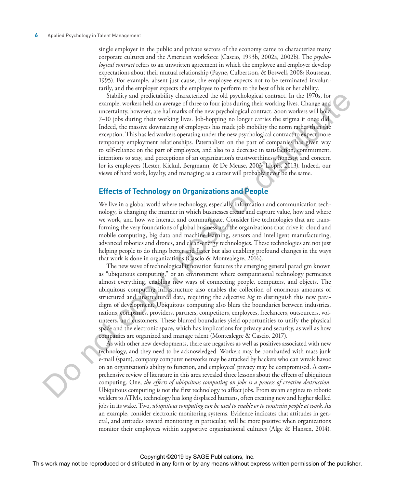single employer in the public and private sectors of the economy came to characterize many corporate cultures and the American workforce (Cascio, 1993b, 2002a, 2002b). The *psychological contract* refers to an unwritten agreement in which the employee and employer develop expectations about their mutual relationship (Payne, Culbertson, & Boswell, 2008; Rousseau, 1995). For example, absent just cause, the employee expects not to be terminated involuntarily, and the employer expects the employee to perform to the best of his or her ability.

Stability and predictability characterized the old psychological contract. In the 1970s, for example, workers held an average of three to four jobs during their working lives. Change and uncertainty, however, are hallmarks of the new psychological contract. Soon workers will hold 7–10 jobs during their working lives. Job-hopping no longer carries the stigma it once did. Indeed, the massive downsizing of employees has made job mobility the norm rather than the exception. This has led workers operating under the new psychological contract to expect more temporary employment relationships. Paternalism on the part of companies has given way to self-reliance on the part of employees, and also to a decrease in satisfaction, commitment, intentions to stay, and perceptions of an organization's trustworthiness, honesty, and concern for its employees (Lester, Kickul, Bergmann, & De Meuse, 2003; Llopis, 2013). Indeed, our views of hard work, loyalty, and managing as a career will probably never be the same.

#### **Effects of Technology on Organizations and People**

We live in a global world where technology, especially information and communication technology, is changing the manner in which businesses create and capture value, how and where we work, and how we interact and communicate. Consider five technologies that are transforming the very foundations of global business and the organizations that drive it: cloud and mobile computing, big data and machine learning, sensors and intelligent manufacturing, advanced robotics and drones, and clean-energy technologies. These technologies are not just helping people to do things better and faster but also enabling profound changes in the ways that work is done in organizations (Cascio & Montealegre, 2016).

The new wave of technological innovation features the emerging general paradigm known as "ubiquitous computing," or an environment where computational technology permeates almost everything, enabling new ways of connecting people, computers, and objects. The ubiquitous computing infrastructure also enables the collection of enormous amounts of structured and unstructured data, requiring the adjective *big* to distinguish this new paradigm of development. Ubiquitous computing also blurs the boundaries between industries, nations, companies, providers, partners, competitors, employees, freelancers, outsourcers, volunteers, and customers. These blurred boundaries yield opportunities to unify the physical space and the electronic space, which has implications for privacy and security, as well as how companies are organized and manage talent (Montealegre & Cascio, 2017).

As with other new developments, there are negatives as well as positives associated with new technology, and they need to be acknowledged. Workers may be bombarded with mass junk e-mail (spam), company computer networks may be attacked by hackers who can wreak havoc on an organization's ability to function, and employees' privacy may be compromised. A comprehensive review of literature in this area revealed three lessons about the effects of ubiquitous computing. One, *the effects of ubiquitous computing on jobs is a process of creative destruction.* Ubiquitous computing is not the first technology to affect jobs. From steam engines to robotic welders to ATMs, technology has long displaced humans, often creating new and higher skilled jobs in its wake. Two, *ubiquitous computing can be used to enable or to constrain people at work.* As an example, consider electronic monitoring systems. Evidence indicates that attitudes in general, and attitudes toward monitoring in particular, will be more positive when organizations monitor their employees within supportive organizational cultures (Alge & Hansen, 2014). The time of the resolution or the resolution of the resolution of the resolution or the resolution of the resolution of the resolution of the resolution of the resolution of the resolution of the resolution of the resol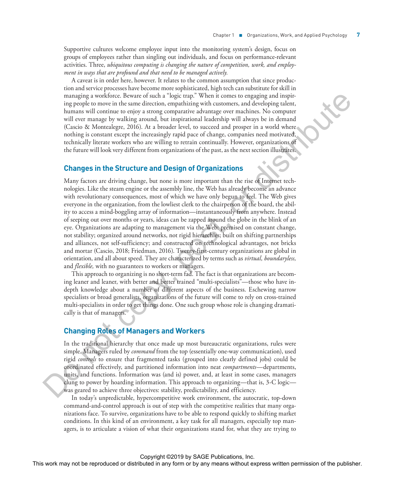Supportive cultures welcome employee input into the monitoring system's design, focus on groups of employees rather than singling out individuals, and focus on performance-relevant activities. Three, *ubiquitous computing is changing the nature of competition, work, and employment in ways that are profound and that need to be managed actively.*

A caveat is in order here, however. It relates to the common assumption that since production and service processes have become more sophisticated, high tech can substitute for skill in managing a workforce. Beware of such a "logic trap." When it comes to engaging and inspiring people to move in the same direction, empathizing with customers, and developing talent, humans will continue to enjoy a strong comparative advantage over machines. No computer will ever manage by walking around, but inspirational leadership will always be in demand (Cascio & Montealegre, 2016). At a broader level, to succeed and prosper in a world where nothing is constant except the increasingly rapid pace of change, companies need motivated, technically literate workers who are willing to retrain continually. However, organizations of the future will look very different from organizations of the past, as the next section illustrates.

#### **Changes in the Structure and Design of Organizations**

Many factors are driving change, but none is more important than the rise of Internet technologies. Like the steam engine or the assembly line, the Web has already become an advance with revolutionary consequences, most of which we have only begun to feel. The Web gives everyone in the organization, from the lowliest clerk to the chairperson of the board, the ability to access a mind-boggling array of information—instantaneously from anywhere. Instead of seeping out over months or years, ideas can be zapped around the globe in the blink of an eye. Organizations are adapting to management via the Web: premised on constant change, not stability; organized around networks, not rigid hierarchies; built on shifting partnerships and alliances, not self-sufficiency; and constructed on technological advantages, not bricks and mortar (Cascio, 2018; Friedman, 2016). Twenty-first-century organizations are global in orientation, and all about speed. They are characterized by terms such as *virtual, boundaryless,* and *flexible,* with no guarantees to workers or managers. This approach or the reproduced or the reproduced or distributed in any means with the representations. So the representation of the representation of the publisher or between the publisher. The means were considered in a

This approach to organizing is no short-term fad. The fact is that organizations are becoming leaner and leaner, with better and better trained "multi-specialists"—those who have indepth knowledge about a number of different aspects of the business. Eschewing narrow specialists or broad generalists, organizations of the future will come to rely on cross-trained multi-specialists in order to get things done. One such group whose role is changing dramatically is that of managers.

#### **Changing Roles of Managers and Workers**

In the traditional hierarchy that once made up most bureaucratic organizations, rules were simple. Managers ruled by *command* from the top (essentially one-way communication), used rigid *controls* to ensure that fragmented tasks (grouped into clearly defined jobs) could be coordinated effectively, and partitioned information into neat *compartments*—departments, units, and functions. Information was (and is) power, and, at least in some cases, managers clung to power by hoarding information. This approach to organizing—that is, 3-C logic was geared to achieve three objectives: stability, predictability, and efficiency.

In today's unpredictable, hypercompetitive work environment, the autocratic, top-down command-and-control approach is out of step with the competitive realities that many organizations face. To survive, organizations have to be able to respond quickly to shifting market conditions. In this kind of an environment, a key task for all managers, especially top managers, is to articulate a vision of what their organizations stand for, what they are trying to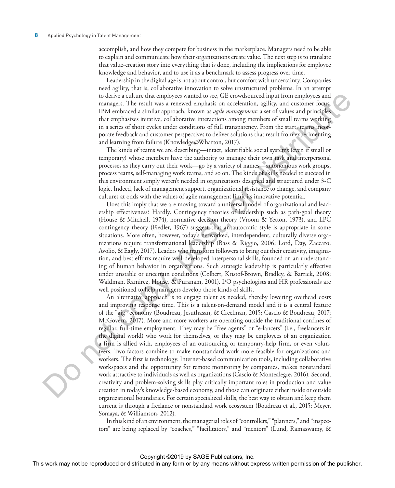accomplish, and how they compete for business in the marketplace. Managers need to be able to explain and communicate how their organizations create value. The next step is to translate that value-creation story into everything that is done, including the implications for employee knowledge and behavior, and to use it as a benchmark to assess progress over time.

Leadership in the digital age is not about control, but comfort with uncertainty. Companies need agility, that is, collaborative innovation to solve unstructured problems. In an attempt to derive a culture that employees wanted to see, GE crowdsourced input from employees and managers. The result was a renewed emphasis on acceleration, agility, and customer focus. IBM embraced a similar approach, known as *agile management:* a set of values and principles that emphasizes iterative, collaborative interactions among members of small teams working in a series of short cycles under conditions of full transparency. From the start, teams incorporate feedback and customer perspectives to deliver solutions that result from experimenting and learning from failure (Knowledge@Wharton, 2017).

The kinds of teams we are describing—intact, identifiable social systems (even if small or temporary) whose members have the authority to manage their own task and interpersonal processes as they carry out their work—go by a variety of names—autonomous work groups, process teams, self-managing work teams, and so on. The kinds of skills needed to succeed in this environment simply weren't needed in organizations designed and structured under 3-C logic. Indeed, lack of management support, organizational resistance to change, and company cultures at odds with the values of agile management limit its innovative potential.

Does this imply that we are moving toward a universal model of organizational and leadership effectiveness? Hardly. Contingency theories of leadership such as path-goal theory (House & Mitchell, 1974), normative decision theory (Vroom & Yetton, 1973), and LPC contingency theory (Fiedler, 1967) suggest that an autocratic style is appropriate in some situations. More often, however, today's networked, interdependent, culturally diverse organizations require transformational leadership (Bass & Riggio, 2006; Lord, Day, Zaccaro, Avolio, & Eagly, 2017). Leaders who transform followers to bring out their creativity, imagination, and best efforts require well-developed interpersonal skills, founded on an understanding of human behavior in organizations. Such strategic leadership is particularly effective under unstable or uncertain conditions (Colbert, Kristof-Brown, Bradley, & Barrick, 2008; Waldman, Ramirez, House, & Puranam, 2001). I/O psychologists and HR professionals are well positioned to help managers develop those kinds of skills.

An alternative approach is to engage talent as needed, thereby lowering overhead costs and improving response time. This is a talent-on-demand model and it is a central feature of the "gig" economy (Boudreau, Jesuthasan, & Creelman, 2015; Cascio & Boudreau, 2017; McGovern, 2017). More and more workers are operating outside the traditional confines of regular, full-time employment. They may be "free agents" or "e-lancers" (i.e., freelancers in the digital world) who work for themselves, or they may be employees of an organization a firm is allied with, employees of an outsourcing or temporary-help firm, or even volunteers. Two factors combine to make nonstandard work more feasible for organizations and workers. The first is technology. Internet-based communication tools, including collaborative workspaces and the opportunity for remote monitoring by companies, makes nonstandard work attractive to individuals as well as organizations (Cascio & Montealegre, 2016). Second, creativity and problem-solving skills play critically important roles in production and value creation in today's knowledge-based economy, and those can originate either inside or outside organizational boundaries. For certain specialized skills, the best way to obtain and keep them current is through a freelance or nonstandard work ecosystem (Boudreau et al., 2015; Meyer, Somaya, & Williamson, 2012). The mass control or the reproduced or distributed in any form or by any means with the repression or distributed in any means were not been always with the publisher of the state and principally in a relation of the publis

In this kind of an environment, the managerial roles of "controllers," "planners," and "inspectors" are being replaced by "coaches," "facilitators," and "mentors" (Lund, Ramaswamy, &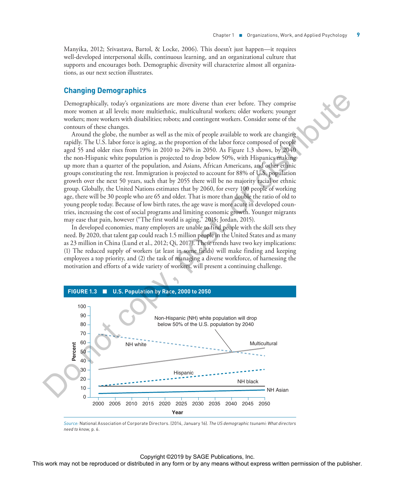Manyika, 2012; Srivastava, Bartol, & Locke, 2006). This doesn't just happen—it requires well-developed interpersonal skills, continuous learning, and an organizational culture that supports and encourages both. Demographic diversity will characterize almost all organizations, as our next section illustrates.

#### **Changing Demographics**

Demographically, today's organizations are more diverse than ever before. They comprise more women at all levels; more multiethnic, multicultural workers; older workers; younger workers; more workers with disabilities; robots; and contingent workers. Consider some of the contours of these changes.

Around the globe, the number as well as the mix of people available to work are changing rapidly. The U.S. labor force is aging, as the proportion of the labor force composed of people aged 55 and older rises from 19% in 2010 to 24% in 2050. As Figure 1.3 shows, by 2040 the non-Hispanic white population is projected to drop below 50%, with Hispanics making up more than a quarter of the population, and Asians, African Americans, and other ethnic groups constituting the rest. Immigration is projected to account for 88% of U.S. population growth over the next 50 years, such that by 2055 there will be no majority racial or ethnic group. Globally, the United Nations estimates that by 2060, for every 100 people of working age, there will be 30 people who are 65 and older. That is more than double the ratio of old to young people today. Because of low birth rates, the age wave is more acute in developed countries, increasing the cost of social programs and limiting economic growth. Younger migrants may ease that pain, however ("The first world is aging," 2015; Jordan, 2015).

In developed economies, many employers are unable to find people with the skill sets they need. By 2020, that talent gap could reach 1.5 million people in the United States and as many as 23 million in China (Lund et al., 2012; Qi, 2017). These trends have two key implications: (1) The reduced supply of workers (at least in some fields) will make finding and keeping employees a top priority, and (2) the task of managing a diverse workforce, of harnessing the motivation and efforts of a wide variety of workers, will present a continuing challenge.



*Source:* National Association of Corporate Directors. (2014, January 16). *The US demographic tsunami: What directors need to know,* p. 6.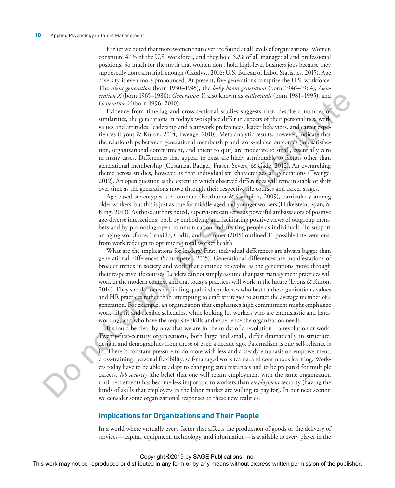Earlier we noted that more women than ever are found at all levels of organizations. Women constitute 47% of the U.S. workforce, and they hold 52% of all managerial and professional positions. So much for the myth that women don't hold high-level business jobs because they supposedly don't aim high enough (Catalyst, 2016; U.S. Bureau of Labor Statistics, 2015). Age diversity is even more pronounced. At present, five generations comprise the U.S. workforce: The *silent generation* (born 1930–1945); the *baby boom generation* (born 1946–1964); *Generation X* (born 1965–1980); *Generation Y*, also known as *millennials* (born 1981–1995); and *Generation Z* (born 1996–2010).

Evidence from time-lag and cross-sectional studies suggests that, despite a number of similarities, the generations in today's workplace differ in aspects of their personalities, work values and attitudes, leadership and teamwork preferences, leader behaviors, and career experiences (Lyons & Kuron, 2014; Twenge, 2010). Meta-analytic results, however, indicate that the relationships between generational membership and work-related outcomes (job satisfaction, organizational commitment, and intent to quit) are moderate to small, essentially zero in many cases. Differences that appear to exist are likely attributable to factors other than generational membership (Costanza, Badger, Fraser, Severt, & Gade, 2012). An overarching theme across studies, however, is that individualism characterizes all generations (Twenge, 2012). An open question is the extent to which observed differences will remain stable or shift over time as the generations move through their respective life courses and career stages. Coloring User Controller (Note that the repressed or distributed in any means with the relations from the relations when the relations when the relations with the relations with the relations with the relations with the r

Age-based stereotypes are common (Posthuma & Campion, 2009), particularly among older workers, but this is just as true for middle-aged and younger workers (Finkelstein, Ryan, & King, 2013). As those authors noted, supervisors can serve as powerful ambassadors of positive age-diverse interactions, both by embodying and facilitating positive views of outgroup members and by promoting open communication and treating people as individuals. To support an aging workforce, Truxillo, Cadiz, and Hammer (2015) outlined 11 possible interventions, from work redesign to optimizing total worker health.

What are the implications for leaders? First, individual differences are always bigger than generational differences (Schumpeter, 2015). Generational differences are manifestations of broader trends in society and work that continue to evolve as the generations move through their respective life courses. Leaders cannot simply assume that past management practices will work in the modern context and that today's practices will work in the future (Lyons & Kuron, 2014). They should focus on finding qualified employees who best fit the organization's values and HR practices rather than attempting to craft strategies to attract the average member of a generation. For example, an organization that emphasizes high commitment might emphasize work–life fit and flexible schedules, while looking for workers who are enthusiastic and hardworking, and who have the requisite skills and experience the organization needs.

It should be clear by now that we are in the midst of a revolution—a revolution at work. Twenty-first-century organizations, both large and small, differ dramatically in structure, design, and demographics from those of even a decade ago. Paternalism is out; self-reliance is in. There is constant pressure to do more with less and a steady emphasis on empowerment, cross-training, personal flexibility, self-managed work teams, and continuous learning. Workers today have to be able to adapt to changing circumstances and to be prepared for multiple careers. *Job security* (the belief that one will retain employment with the same organization until retirement) has become less important to workers than *employment* security (having the kinds of skills that employers in the labor market are willing to pay for). In our next section we consider some organizational responses to these new realities.

#### **Implications for Organizations and Their People**

In a world where virtually every factor that affects the production of goods or the delivery of services—capital, equipment, technology, and information—is available to every player in the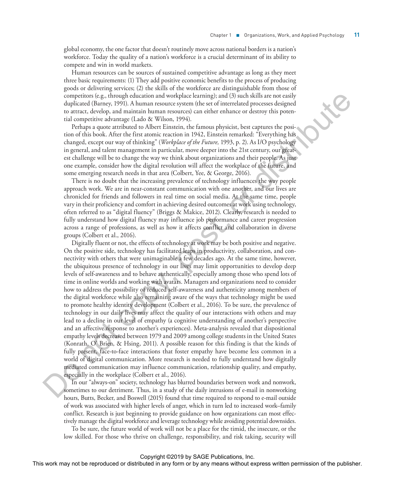global economy, the one factor that doesn't routinely move across national borders is a nation's workforce. Today the quality of a nation's workforce is a crucial determinant of its ability to compete and win in world markets.

Human resources can be sources of sustained competitive advantage as long as they meet three basic requirements: (1) They add positive economic benefits to the process of producing goods or delivering services; (2) the skills of the workforce are distinguishable from those of competitors (e.g., through education and workplace learning); and (3) such skills are not easily duplicated (Barney, 1991). A human resource system (the set of interrelated processes designed to attract, develop, and maintain human resources) can either enhance or destroy this potential competitive advantage (Lado & Wilson, 1994).

Perhaps a quote attributed to Albert Einstein, the famous physicist, best captures the position of this book. After the first atomic reaction in 1942, Einstein remarked: "Everything has changed, except our way of thinking" (*Workplace of the Future,* 1993, p. 2). As I/O psychology in general, and talent management in particular, move deeper into the 21st century, our greatest challenge will be to change the way we think about organizations and their people. As just one example, consider how the digital revolution will affect the workplace of the future, and some emerging research needs in that area (Colbert, Yee, & George, 2016).

There is no doubt that the increasing prevalence of technology influences the way people approach work. We are in near-constant communication with one another, and our lives are chronicled for friends and followers in real time on social media. At the same time, people vary in their proficiency and comfort in achieving desired outcomes at work using technology, often referred to as "digital fluency" (Briggs & Makice, 2012). Clearly, research is needed to fully understand how digital fluency may influence job performance and career progression across a range of professions, as well as how it affects conflict and collaboration in diverse groups (Colbert et al., 2016).

Digitally fluent or not, the effects of technology at work may be both positive and negative. On the positive side, technology has facilitated leaps in productivity, collaboration, and connectivity with others that were unimaginable a few decades ago. At the same time, however, the ubiquitous presence of technology in our lives may limit opportunities to develop deep levels of self-awareness and to behave authentically, especially among those who spend lots of time in online worlds and working with avatars. Managers and organizations need to consider how to address the possibility of reduced self-awareness and authenticity among members of the digital workforce while also remaining aware of the ways that technology might be used to promote healthy identity development (Colbert et al., 2016). To be sure, the prevalence of technology in our daily lives may affect the quality of our interactions with others and may lead to a decline in our level of empathy (a cognitive understanding of another's perspective and an affective response to another's experiences). Meta-analysis revealed that dispositional empathy levels decreased between 1979 and 2009 among college students in the United States (Konrath, O' Brien, & Hsing, 2011). A possible reason for this finding is that the kinds of fully present, face-to-face interactions that foster empathy have become less common in a world of digital communication. More research is needed to fully understand how digitally mediated communication may influence communication, relationship quality, and empathy, especially in the workplace (Colbert et al., 2016). competitive functions work may be reproduced or distributed in any form or between the results and the results of the results are not express with the results of the results of the publisher. The publisher and the state wi

In our "always-on" society, technology has blurred boundaries between work and nonwork, sometimes to our detriment. Thus, in a study of the daily intrusions of e-mail in nonworking hours, Butts, Becker, and Boswell (2015) found that time required to respond to e-mail outside of work was associated with higher levels of anger, which in turn led to increased work–family conflict. Research is just beginning to provide guidance on how organizations can most effectively manage the digital workforce and leverage technology while avoiding potential downsides.

To be sure, the future world of work will not be a place for the timid, the insecure, or the low skilled. For those who thrive on challenge, responsibility, and risk taking, security will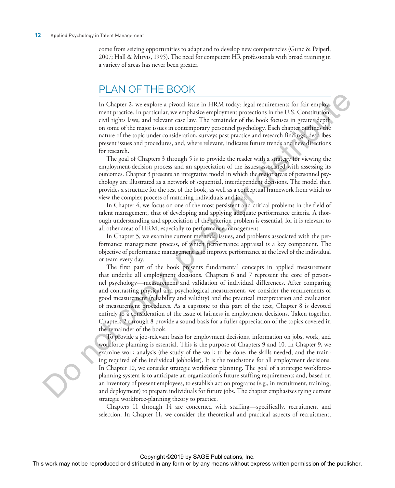come from seizing opportunities to adapt and to develop new competencies (Gunz & Peiperl, 2007; Hall & Mirvis, 1995). The need for competent HR professionals with broad training in a variety of areas has never been greater.

### PLAN OF THE BOOK

In Chapter 2, we explore a pivotal issue in HRM today: legal requirements for fair employment practice. In particular, we emphasize employment protections in the U.S. Constitution, civil rights laws, and relevant case law. The remainder of the book focuses in greater depth on some of the major issues in contemporary personnel psychology. Each chapter outlines the nature of the topic under consideration, surveys past practice and research findings, describes present issues and procedures, and, where relevant, indicates future trends and new directions for research.

The goal of Chapters 3 through 5 is to provide the reader with a strategy for viewing the employment-decision process and an appreciation of the issues associated with assessing its outcomes. Chapter 3 presents an integrative model in which the major areas of personnel psychology are illustrated as a network of sequential, interdependent decisions. The model then provides a structure for the rest of the book, as well as a conceptual framework from which to view the complex process of matching individuals and jobs.

In Chapter 4, we focus on one of the most persistent and critical problems in the field of talent management, that of developing and applying adequate performance criteria. A thorough understanding and appreciation of the criterion problem is essential, for it is relevant to all other areas of HRM, especially to performance management.

In Chapter 5, we examine current methods, issues, and problems associated with the performance management process, of which performance appraisal is a key component. The objective of performance management is to improve performance at the level of the individual or team every day.

The first part of the book presents fundamental concepts in applied measurement that underlie all employment decisions. Chapters 6 and 7 represent the core of personnel psychology—measurement and validation of individual differences. After comparing and contrasting physical and psychological measurement, we consider the requirements of good measurement (reliability and validity) and the practical interpretation and evaluation of measurement procedures. As a capstone to this part of the text, Chapter 8 is devoted entirely to a consideration of the issue of fairness in employment decisions. Taken together, Chapters 2 through 8 provide a sound basis for a fuller appreciation of the topics covered in the remainder of the book. The Chapter 2, we explore the results are the results of the results of the publisher or distributed in the results of the publisher or distributed in a method in the convention of the publisher. The publisher any means w

To provide a job-relevant basis for employment decisions, information on jobs, work, and workforce planning is essential. This is the purpose of Chapters 9 and 10. In Chapter 9, we examine work analysis (the study of the work to be done, the skills needed, and the training required of the individual jobholder). It is the touchstone for all employment decisions. In Chapter 10, we consider strategic workforce planning. The goal of a strategic workforceplanning system is to anticipate an organization's future staffing requirements and, based on an inventory of present employees, to establish action programs (e.g., in recruitment, training, and deployment) to prepare individuals for future jobs. The chapter emphasizes tying current strategic workforce-planning theory to practice.

Chapters 11 through 14 are concerned with staffing—specifically, recruitment and selection. In Chapter 11, we consider the theoretical and practical aspects of recruitment,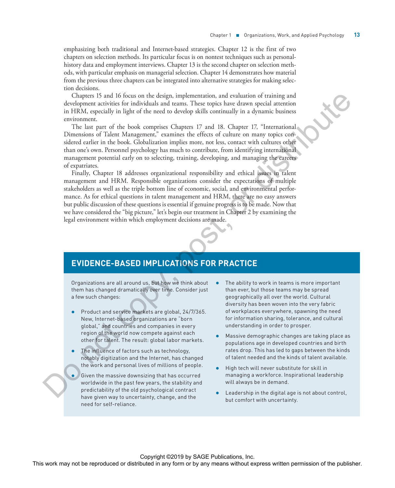emphasizing both traditional and Internet-based strategies. Chapter 12 is the first of two chapters on selection methods. Its particular focus is on nontest techniques such as personalhistory data and employment interviews. Chapter 13 is the second chapter on selection methods, with particular emphasis on managerial selection. Chapter 14 demonstrates how material from the previous three chapters can be integrated into alternative strategies for making selection decisions.

Chapters 15 and 16 focus on the design, implementation, and evaluation of training and development activities for individuals and teams. These topics have drawn special attention in HRM, especially in light of the need to develop skills continually in a dynamic business environment.

The last part of the book comprises Chapters 17 and 18. Chapter 17, "International Dimensions of Talent Management," examines the effects of culture on many topics considered earlier in the book. Globalization implies more, not less, contact with cultures other than one's own. Personnel psychology has much to contribute, from identifying international management potential early on to selecting, training, developing, and managing the careers of expatriates.

Finally, Chapter 18 addresses organizational responsibility and ethical issues in talent management and HRM. Responsible organizations consider the expectations of multiple stakeholders as well as the triple bottom line of economic, social, and environmental performance. As for ethical questions in talent management and HRM, there are no easy answers but public discussion of these questions is essential if genuine progress is to be made. Now that we have considered the "big picture," let's begin our treatment in Chapter 2 by examining the legal environment within which employment decisions are made. Chapter 15 of 16 of 16 of 16 of 16 of 16 of 16 of 16 of 16 of 16 of 16 of 16 of 16 of 16 of 16 of 16 of 16 or by any means with any means with a selected in a selected in a selected in a selected or distributed in any mea

#### **EVIDENCE-BASED IMPLICATIONS FOR PRACTICE**

Organizations are all around us, but how we think about them has changed dramatically over time. Consider just a few such changes:

- **•** Product and service markets are global, 24/7/365. New, Internet-based organizations are "born global," and countries and companies in every region of the world now compete against each other for talent. The result: global labor markets.
- The influence of factors such as technology, notably digitization and the Internet, has changed the work and personal lives of millions of people.

Given the massive downsizing that has occurred worldwide in the past few years, the stability and predictability of the old psychological contract have given way to uncertainty, change, and the need for self-reliance.

- The ability to work in teams is more important than ever, but those teams may be spread geographically all over the world. Cultural diversity has been woven into the very fabric of workplaces everywhere, spawning the need for information sharing, tolerance, and cultural understanding in order to prosper.
- Massive demographic changes are taking place as populations age in developed countries and birth rates drop. This has led to gaps between the kinds of talent needed and the kinds of talent available.
- $\bullet$  High tech will never substitute for skill in managing a workforce. Inspirational leadership will always be in demand.
- Leadership in the digital age is not about control, but comfort with uncertainty.